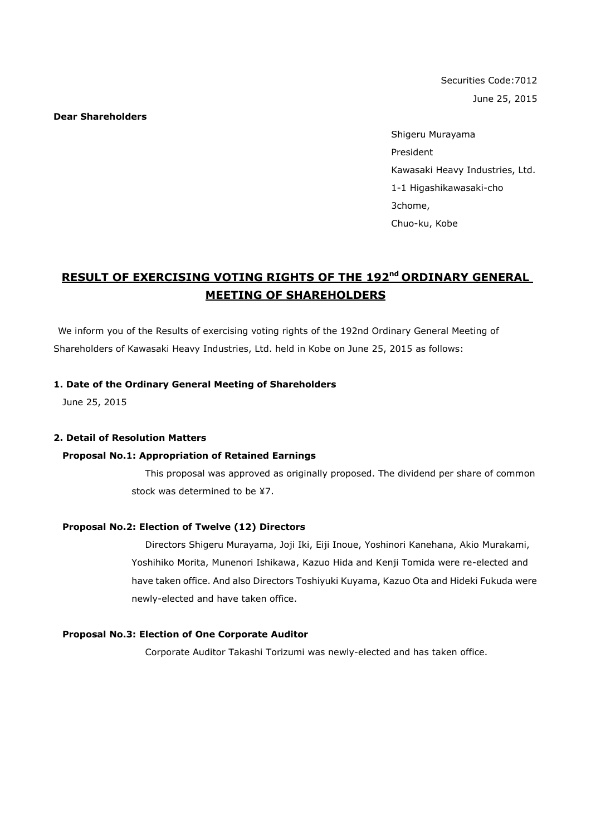Securities Code:7012 June 25, 2015

**Dear Shareholders**

Shigeru Murayama President Kawasaki Heavy Industries, Ltd. 1-1 Higashikawasaki-cho 3chome, Chuo-ku, Kobe

# **RESULT OF EXERCISING VOTING RIGHTS OF THE 192<sup>nd</sup> ORDINARY GENERAL MEETING OF SHAREHOLDERS**

We inform you of the Results of exercising voting rights of the 192nd Ordinary General Meeting of Shareholders of Kawasaki Heavy Industries, Ltd. held in Kobe on June 25, 2015 as follows:

#### **1. Date of the Ordinary General Meeting of Shareholders**

June 25, 2015

#### **2. Detail of Resolution Matters**

#### **Proposal No.1: Appropriation of Retained Earnings**

This proposal was approved as originally proposed. The dividend per share of common stock was determined to be ¥7.

### **Proposal No.2: Election of Twelve (12) Directors**

Directors Shigeru Murayama, Joji Iki, Eiji Inoue, Yoshinori Kanehana, Akio Murakami, Yoshihiko Morita, Munenori Ishikawa, Kazuo Hida and Kenji Tomida were re-elected and have taken office. And also Directors Toshiyuki Kuyama, Kazuo Ota and Hideki Fukuda were newly-elected and have taken office.

#### **Proposal No.3: Election of One Corporate Auditor**

Corporate Auditor Takashi Torizumi was newly-elected and has taken office.